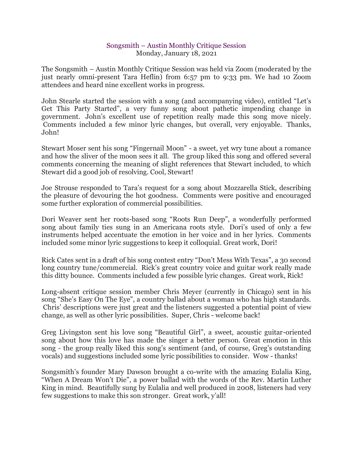## Songsmith – Austin Monthly Critique Session Monday, January 18, 2021

The Songsmith – Austin Monthly Critique Session was held via Zoom (moderated by the just nearly omni-present Tara Heflin) from 6:57 pm to 9:33 pm. We had 10 Zoom attendees and heard nine excellent works in progress.

John Stearle started the session with a song (and accompanying video), entitled "Let's Get This Party Started", a very funny song about pathetic impending change in government. John's excellent use of repetition really made this song move nicely. Comments included a few minor lyric changes, but overall, very enjoyable. Thanks, John!

Stewart Moser sent his song "Fingernail Moon" - a sweet, yet wry tune about a romance and how the sliver of the moon sees it all. The group liked this song and offered several comments concerning the meaning of slight references that Stewart included, to which Stewart did a good job of resolving. Cool, Stewart!

Joe Strouse responded to Tara's request for a song about Mozzarella Stick, describing the pleasure of devouring the hot goodness. Comments were positive and encouraged some further exploration of commercial possibilities.

Dori Weaver sent her roots-based song "Roots Run Deep", a wonderfully performed song about family ties sung in an Americana roots style. Dori's used of only a few instruments helped accentuate the emotion in her voice and in her lyrics. Comments included some minor lyric suggestions to keep it colloquial. Great work, Dori!

Rick Cates sent in a draft of his song contest entry "Don't Mess With Texas", a 30 second long country tune/commercial. Rick's great country voice and guitar work really made this ditty bounce. Comments included a few possible lyric changes. Great work, Rick!

Long-absent critique session member Chris Meyer (currently in Chicago) sent in his song "She's Easy On The Eye", a country ballad about a woman who has high standards. Chris' descriptions were just great and the listeners suggested a potential point of view change, as well as other lyric possibilities. Super, Chris - welcome back!

Greg Livingston sent his love song "Beautiful Girl", a sweet, acoustic guitar-oriented song about how this love has made the singer a better person. Great emotion in this song - the group really liked this song's sentiment (and, of course, Greg's outstanding vocals) and suggestions included some lyric possibilities to consider. Wow - thanks!

Songsmith's founder Mary Dawson brought a co-write with the amazing Eulalia King, "When A Dream Won't Die", a power ballad with the words of the Rev. Martin Luther King in mind. Beautifully sung by Eulalia and well produced in 2008, listeners had very few suggestions to make this son stronger. Great work, y'all!